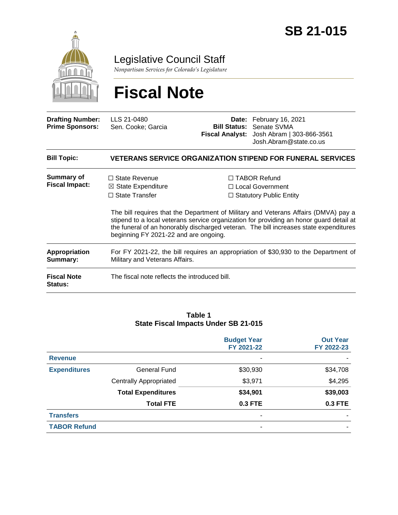

Legislative Council Staff

*Nonpartisan Services for Colorado's Legislature*

# **Fiscal Note**

| <b>Drafting Number:</b><br><b>Prime Sponsors:</b> | LLS 21-0480<br>Sen. Cooke; Garcia                                                                                       | <b>Bill Status:</b> | Date: February 16, 2021<br>Senate SVMA<br>Fiscal Analyst: Josh Abram   303-866-3561<br>Josh.Abram@state.co.us                                                                                                                                                                                                                                          |  |  |
|---------------------------------------------------|-------------------------------------------------------------------------------------------------------------------------|---------------------|--------------------------------------------------------------------------------------------------------------------------------------------------------------------------------------------------------------------------------------------------------------------------------------------------------------------------------------------------------|--|--|
| <b>Bill Topic:</b>                                | <b>VETERANS SERVICE ORGANIZATION STIPEND FOR FUNERAL SERVICES</b>                                                       |                     |                                                                                                                                                                                                                                                                                                                                                        |  |  |
| <b>Summary of</b><br><b>Fiscal Impact:</b>        | $\Box$ State Revenue<br>$\boxtimes$ State Expenditure<br>$\Box$ State Transfer<br>beginning FY 2021-22 and are ongoing. |                     | $\Box$ TABOR Refund<br>□ Local Government<br>$\Box$ Statutory Public Entity<br>The bill requires that the Department of Military and Veterans Affairs (DMVA) pay a<br>stipend to a local veterans service organization for providing an honor guard detail at<br>the funeral of an honorably discharged veteran. The bill increases state expenditures |  |  |
| Appropriation<br>Summary:                         | For FY 2021-22, the bill requires an appropriation of \$30,930 to the Department of<br>Military and Veterans Affairs.   |                     |                                                                                                                                                                                                                                                                                                                                                        |  |  |
| <b>Fiscal Note</b><br><b>Status:</b>              | The fiscal note reflects the introduced bill.                                                                           |                     |                                                                                                                                                                                                                                                                                                                                                        |  |  |

#### **Table 1 State Fiscal Impacts Under SB 21-015**

|                     |                               | <b>Budget Year</b><br>FY 2021-22 | <b>Out Year</b><br>FY 2022-23 |
|---------------------|-------------------------------|----------------------------------|-------------------------------|
| <b>Revenue</b>      |                               | ۰                                |                               |
| <b>Expenditures</b> | <b>General Fund</b>           | \$30,930                         | \$34,708                      |
|                     | <b>Centrally Appropriated</b> | \$3,971                          | \$4,295                       |
|                     | <b>Total Expenditures</b>     | \$34,901                         | \$39,003                      |
|                     | <b>Total FTE</b>              | 0.3 FTE                          | 0.3 FTE                       |
| <b>Transfers</b>    |                               | ٠                                |                               |
| <b>TABOR Refund</b> |                               | -                                |                               |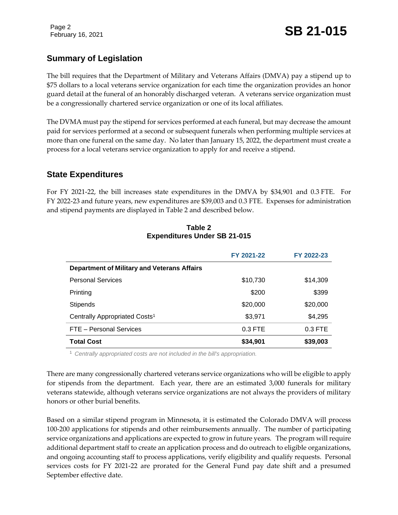## **Summary of Legislation**

The bill requires that the Department of Military and Veterans Affairs (DMVA) pay a stipend up to \$75 dollars to a local veterans service organization for each time the organization provides an honor guard detail at the funeral of an honorably discharged veteran. A veterans service organization must be a congressionally chartered service organization or one of its local affiliates.

The DVMA must pay the stipend for services performed at each funeral, but may decrease the amount paid for services performed at a second or subsequent funerals when performing multiple services at more than one funeral on the same day. No later than January 15, 2022, the department must create a process for a local veterans service organization to apply for and receive a stipend.

## **State Expenditures**

For FY 2021-22, the bill increases state expenditures in the DMVA by \$34,901 and 0.3 FTE. For FY 2022-23 and future years, new expenditures are \$39,003 and 0.3 FTE. Expenses for administration and stipend payments are displayed in Table 2 and described below.

|                                                    | FY 2021-22 | FY 2022-23 |  |  |  |
|----------------------------------------------------|------------|------------|--|--|--|
| <b>Department of Military and Veterans Affairs</b> |            |            |  |  |  |
| <b>Personal Services</b>                           | \$10,730   | \$14,309   |  |  |  |
| Printing                                           | \$200      | \$399      |  |  |  |
| <b>Stipends</b>                                    | \$20,000   | \$20,000   |  |  |  |
| Centrally Appropriated Costs <sup>1</sup>          | \$3,971    | \$4,295    |  |  |  |
| FTE - Personal Services                            | $0.3$ FTE  | $0.3$ FTE  |  |  |  |
| <b>Total Cost</b>                                  | \$34,901   | \$39,003   |  |  |  |

#### **Table 2 Expenditures Under SB 21-015**

<sup>1</sup> *Centrally appropriated costs are not included in the bill's appropriation.*

There are many congressionally chartered veterans service organizations who will be eligible to apply for stipends from the department. Each year, there are an estimated 3,000 funerals for military veterans statewide, although veterans service organizations are not always the providers of military honors or other burial benefits.

Based on a similar stipend program in Minnesota, it is estimated the Colorado DMVA will process 100-200 applications for stipends and other reimbursements annually. The number of participating service organizations and applications are expected to grow in future years. The program will require additional department staff to create an application process and do outreach to eligible organizations, and ongoing accounting staff to process applications, verify eligibility and qualify requests. Personal services costs for FY 2021-22 are prorated for the General Fund pay date shift and a presumed September effective date.